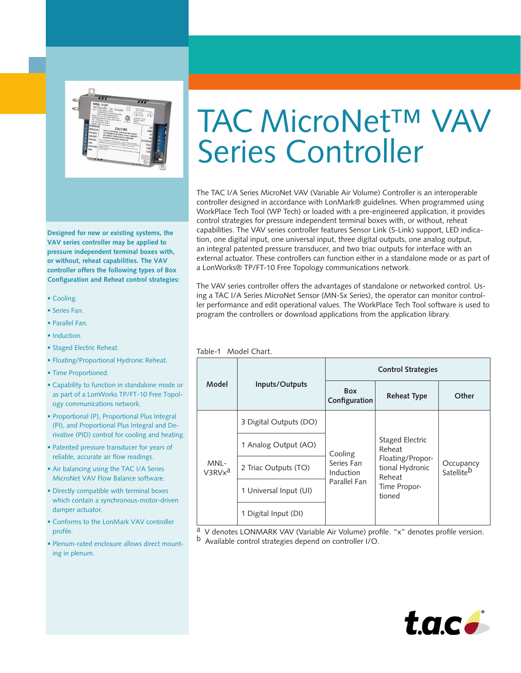

**Designed for new or existing systems, the VAV series controller may be applied to pressure independent terminal boxes with, or without, reheat capabilities. The VAV controller offers the following types of Box Configuration and Reheat control strategies:**

• Cooling.

• •

- Series Fan.
- Parallel Fan.
- Induction.
- Staged Electric Reheat.
- Floating/Proportional Hydronic Reheat.
- Time Proportioned.
- Capability to function in standalone mode or as part of a LonWorks TP/FT-10 Free Topology communications network.
- Proportional (P), Proportional Plus Integral (PI), and Proportional Plus Integral and Derivative (PID) control for cooling and heating.
- Patented pressure transducer for years of reliable, accurate air flow readings.
- Air balancing using the TAC I/A Series MicroNet VAV Flow Balance software.
- Directly compatible with terminal boxes which contain a synchronous-motor-driven damper actuator.
- Conforms to the LonMark VAV controller profile.
- Plenum-rated enclosure allows direct mounting in plenum.

# TAC MicroNet™ VAV Series Controller

The TAC I/A Series MicroNet VAV (Variable Air Volume) Controller is an interoperable controller designed in accordance with LonMark® guidelines. When programmed using WorkPlace Tech Tool (WP Tech) or loaded with a pre-engineered application, it provides control strategies for pressure independent terminal boxes with, or without, reheat capabilities. The VAV series controller features Sensor Link (S-Link) support, LED indication, one digital input, one universal input, three digital outputs, one analog output, an integral patented pressure transducer, and two triac outputs for interface with an external actuator. These controllers can function either in a standalone mode or as part of a LonWorks® TP/FT-10 Free Topology communications network.

The VAV series controller offers the advantages of standalone or networked control. Using a TAC I/A Series MicroNet Sensor (MN-Sx Series), the operator can monitor controller performance and edit operational values. The WorkPlace Tech Tool software is used to program the controllers or download applications from the application library.

Table-1 Model Chart.

| Model                      | Inputs/Outputs         | <b>Control Strategies</b>                          |                                                                                                      |                         |
|----------------------------|------------------------|----------------------------------------------------|------------------------------------------------------------------------------------------------------|-------------------------|
|                            |                        | <b>Box</b><br>Configuration                        | <b>Reheat Type</b>                                                                                   | Other                   |
| MNL-<br>V3RVx <sup>a</sup> | 3 Digital Outputs (DO) | Cooling<br>Series Fan<br>Induction<br>Parallel Fan | Staged Electric<br>Reheat<br>Floating/Propor-<br>tional Hydronic<br>Reheat<br>Time Propor-<br>tioned | Occupancy<br>Satelliteb |
|                            | 1 Analog Output (AO)   |                                                    |                                                                                                      |                         |
|                            | 2 Triac Outputs (TO)   |                                                    |                                                                                                      |                         |
|                            | 1 Universal Input (UI) |                                                    |                                                                                                      |                         |
|                            | 1 Digital Input (DI)   |                                                    |                                                                                                      |                         |

a V denotes LONMARK VAV (Variable Air Volume) profile. "x" denotes profile version. b Available control strategies depend on controller I/O.

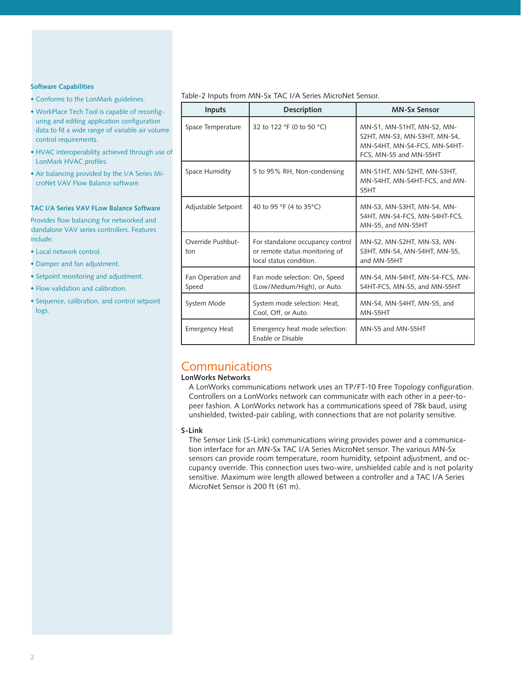#### **Software Capabilities**

- Conforms to the LonMark guidelines.
- WorkPlace Tech Tool is capable of reconfiguring and editing application configuration data to fit a wide range of variable air volume control requirements.
- HVAC interoperability achieved through use of LonMark HVAC profiles.
- Air balancing provided by the I/A Series MicroNet VAV Flow Balance software.

#### **TAC I/A Series VAV FLow Balance Software**

Provides flow balancing for networked and standalone VAV series controllers. Features include:

- Local network control.
- Damper and fan adjustment.
- Setpoint monitoring and adjustment.
- Flow validation and calibration.
- Sequence, calibration, and control setpoint logs.

#### Table-2 Inputs from MN-Sx TAC I/A Series MicroNet Sensor.

| <b>Inputs</b>              | <b>Description</b>                                                                            | <b>MN-Sx Sensor</b>                                                                                                  |
|----------------------------|-----------------------------------------------------------------------------------------------|----------------------------------------------------------------------------------------------------------------------|
| Space Temperature          | 32 to 122 °F (0 to 50 °C)                                                                     | MN-S1, MN-S1HT, MN-S2, MN-<br>S2HT, MN-S3, MN-S3HT, MN-S4,<br>MN-S4HT, MN-S4-FCS, MN-S4HT-<br>FCS, MN-S5 and MN-S5HT |
| Space Humidity             | 5 to 95% RH, Non-condensing                                                                   | MN-S1HT, MN-S2HT, MN-S3HT,<br>MN-S4HT, MN-S4HT-FCS, and MN-<br>S5HT                                                  |
| Adjustable Setpoint        | 40 to 95 °F (4 to 35°C)                                                                       | MN-S3, MN-S3HT, MN-S4, MN-<br>S4HT, MN-S4-FCS, MN-S4HT-FCS,<br>MN-S5, and MN-S5HT                                    |
| Override Pushbut-<br>ton   | For standalone occupancy control<br>or remote status monitoring of<br>local status condition. | MN-S2, MN-S2HT, MN-S3, MN-<br>S3HT, MN-S4, MN-S4HT, MN-S5,<br>and MN-S5HT                                            |
| Fan Operation and<br>Speed | Fan mode selection: On, Speed<br>(Low/Medium/High), or Auto.                                  | MN-S4, MN-S4HT, MN-S4-FCS, MN-<br>S4HT-FCS, MN-S5, and MN-S5HT                                                       |
| System Mode                | System mode selection: Heat,<br>Cool, Off, or Auto.                                           | MN-S4, MN-S4HT, MN-S5, and<br>MN-S5HT                                                                                |
| <b>Emergency Heat</b>      | Emergency heat mode selection:<br>Enable or Disable                                           | MN-S5 and MN-S5HT                                                                                                    |

### **Communications**

#### **LonWorks Networks**

A LonWorks communications network uses an TP/FT-10 Free Topology configuration. Controllers on a LonWorks network can communicate with each other in a peer-topeer fashion. A LonWorks network has a communications speed of 78k baud, using unshielded, twisted-pair cabling, with connections that are not polarity sensitive.

#### **S-Link**

The Sensor Link (S-Link) communications wiring provides power and a communication interface for an MN-Sx TAC I/A Series MicroNet sensor. The various MN-Sx sensors can provide room temperature, room humidity, setpoint adjustment, and occupancy override. This connection uses two-wire, unshielded cable and is not polarity sensitive. Maximum wire length allowed between a controller and a TAC I/A Series MicroNet Sensor is 200 ft (61 m).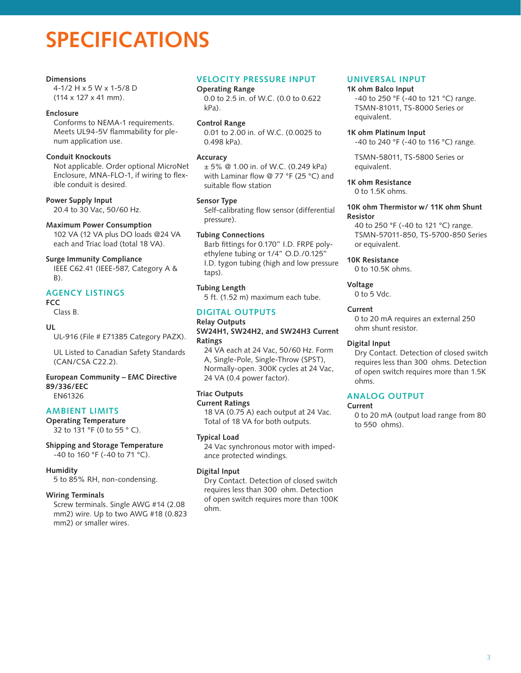## **SPECIFICATIONS**

#### **Dimensions**

4-1/2 H x 5 W x 1-5/8 D (114 x 127 x 41 mm).

#### **Enclosure**

Conforms to NEMA-1 requirements. Meets UL94-5V flammability for plenum application use.

#### **Conduit Knockouts**

Not applicable. Order optional MicroNet Enclosure, MNA-FLO-1, if wiring to flexible conduit is desired.

**Power Supply Input**

20.4 to 30 Vac, 50/60 Hz.

#### **Maximum Power Consumption**

102 VA (12 VA plus DO loads @24 VA each and Triac load (total 18 VA).

#### **Surge Immunity Compliance**

IEEE C62.41 (IEEE-587, Category A & B).

#### **Agency Listings**

#### **FCC**

Class B.

#### **UL**

UL-916 (File # E71385 Category PAZX).

UL Listed to Canadian Safety Standards (CAN/CSA C22.2).

#### **European Community – EMC Directive 89/336/EEC** EN61326

#### **Ambient Limits**

**Operating Temperature** 32 to 131 °F (0 to 55 ° C).

**Shipping and Storage Temperature** -40 to 160 °F (-40 to 71 °C).

#### **Humidity**

5 to 85% RH, non-condensing.

#### **Wiring Terminals**

Screw terminals. Single AWG #14 (2.08 mm2) wire. Up to two AWG #18 (0.823 mm2) or smaller wires.

#### **Velocity Pressure Input**

#### **Operating Range**

0.0 to 2.5 in. of W.C. (0.0 to 0.622 kPa).

#### **Control Range**

0.01 to 2.00 in. of W.C. (0.0025 to 0.498 kPa).

#### **Accuracy**

± 5% @ 1.00 in. of W.C. (0.249 kPa) with Laminar flow @ 77 °F (25 °C) and suitable flow station

#### **Sensor Type**

Self-calibrating flow sensor (differential pressure).

#### **Tubing Connections**

Barb fittings for 0.170" I.D. FRPE polyethylene tubing or 1/4" O.D./0.125" I.D. tygon tubing (high and low pressure taps).

#### **Tubing Length**

5 ft. (1.52 m) maximum each tube.

#### **Digital Outputs**

#### **Relay Outputs SW24H1, SW24H2, and SW24H3 Current Ratings**

24 VA each at 24 Vac, 50/60 Hz. Form A, Single-Pole, Single-Throw (SPST), Normally-open. 300K cycles at 24 Vac, 24 VA (0.4 power factor).

#### **Triac Outputs**

**Current Ratings** 18 VA (0.75 A) each output at 24 Vac. Total of 18 VA for both outputs.

#### **Typical Load**

24 Vac synchronous motor with impedance protected windings.

#### **Digital Input**

Dry Contact. Detection of closed switch requires less than 300 ohm. Detection of open switch requires more than 100K ohm.

#### **Universal Input**

**1K ohm Balco Input** -40 to 250 °F (-40 to 121 °C) range.

TSMN-81011, TS-8000 Series or equivalent.

#### **1K ohm Platinum Input**

-40 to 240 °F (-40 to 116 °C) range.

TSMN-58011, TS-5800 Series or equivalent.

**1K ohm Resistance** 0 to 1.5K ohms.

#### **10K ohm Thermistor w/ 11K ohm Shunt Resistor**

40 to 250 °F (-40 to 121 °C) range. TSMN-57011-850, TS-5700-850 Series or equivalent.

#### **10K Resistance**

0 to 10.5K ohms.

#### **Voltage**

0 to 5 Vdc.

#### **Current**

0 to 20 mA requires an external 250 ohm shunt resistor.

#### **Digital Input**

Dry Contact. Detection of closed switch requires less than 300 ohms. Detection of open switch requires more than 1.5K ohms.

#### **Analog Output**

#### **Current**

0 to 20 mA (output load range from 80 to 550 ohms).